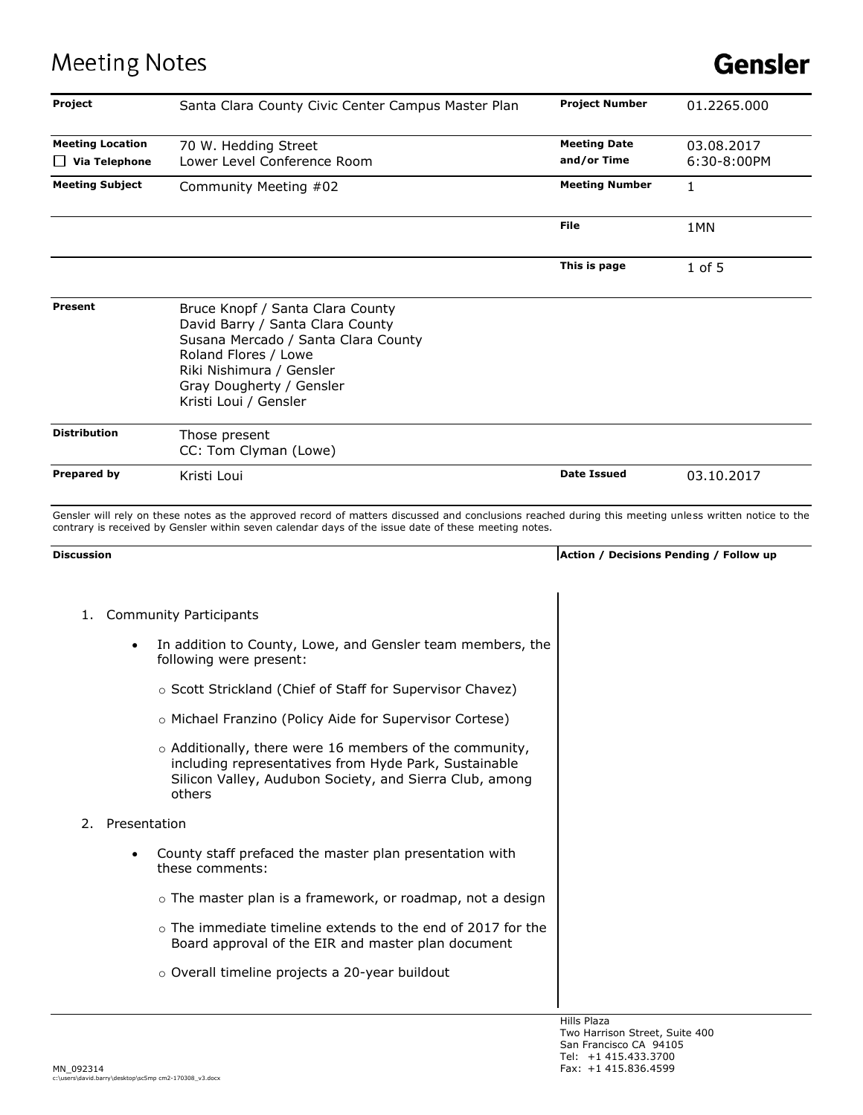## **Meeting Notes**

| Project                                         | Santa Clara County Civic Center Campus Master Plan                                                                                                                                                                                                            | <b>Project Number</b>              | 01.2265.000                            |
|-------------------------------------------------|---------------------------------------------------------------------------------------------------------------------------------------------------------------------------------------------------------------------------------------------------------------|------------------------------------|----------------------------------------|
| <b>Meeting Location</b><br>$\Box$ Via Telephone | 70 W. Hedding Street<br>Lower Level Conference Room                                                                                                                                                                                                           | <b>Meeting Date</b><br>and/or Time | 03.08.2017<br>6:30-8:00PM              |
| <b>Meeting Subject</b>                          | Community Meeting #02                                                                                                                                                                                                                                         | <b>Meeting Number</b>              | 1                                      |
|                                                 |                                                                                                                                                                                                                                                               | File                               | 1MN                                    |
|                                                 |                                                                                                                                                                                                                                                               | This is page                       | $1$ of 5                               |
| Present                                         | Bruce Knopf / Santa Clara County<br>David Barry / Santa Clara County<br>Susana Mercado / Santa Clara County<br>Roland Flores / Lowe<br>Riki Nishimura / Gensler<br>Gray Dougherty / Gensler<br>Kristi Loui / Gensler                                          |                                    |                                        |
| <b>Distribution</b>                             | Those present<br>CC: Tom Clyman (Lowe)                                                                                                                                                                                                                        |                                    |                                        |
| Prepared by                                     | Kristi Loui                                                                                                                                                                                                                                                   | <b>Date Issued</b>                 | 03.10.2017                             |
|                                                 | Gensler will rely on these notes as the approved record of matters discussed and conclusions reached during this meeting unless written notice to the<br>contrary is received by Gensler within seven calendar days of the issue date of these meeting notes. |                                    |                                        |
| <b>Discussion</b>                               |                                                                                                                                                                                                                                                               |                                    | Action / Decisions Pending / Follow up |
| 1.                                              | <b>Community Participants</b>                                                                                                                                                                                                                                 |                                    |                                        |
|                                                 | In addition to County, Lowe, and Gensler team members, the<br>following were present:                                                                                                                                                                         |                                    |                                        |
|                                                 | ○ Scott Strickland (Chief of Staff for Supervisor Chavez)                                                                                                                                                                                                     |                                    |                                        |
|                                                 | o Michael Franzino (Policy Aide for Supervisor Cortese)                                                                                                                                                                                                       |                                    |                                        |
|                                                 | o Additionally, there were 16 members of the community,<br>including representatives from Hyde Park, Sustainable<br>Silicon Valley, Audubon Society, and Sierra Club, among<br>others                                                                         |                                    |                                        |
| Presentation<br>2.                              |                                                                                                                                                                                                                                                               |                                    |                                        |
|                                                 | County staff prefaced the master plan presentation with<br>these comments:                                                                                                                                                                                    |                                    |                                        |
|                                                 | o The master plan is a framework, or roadmap, not a design                                                                                                                                                                                                    |                                    |                                        |
|                                                 | o The immediate timeline extends to the end of 2017 for the<br>Board approval of the EIR and master plan document                                                                                                                                             |                                    |                                        |
|                                                 | o Overall timeline projects a 20-year buildout                                                                                                                                                                                                                |                                    |                                        |
|                                                 |                                                                                                                                                                                                                                                               |                                    |                                        |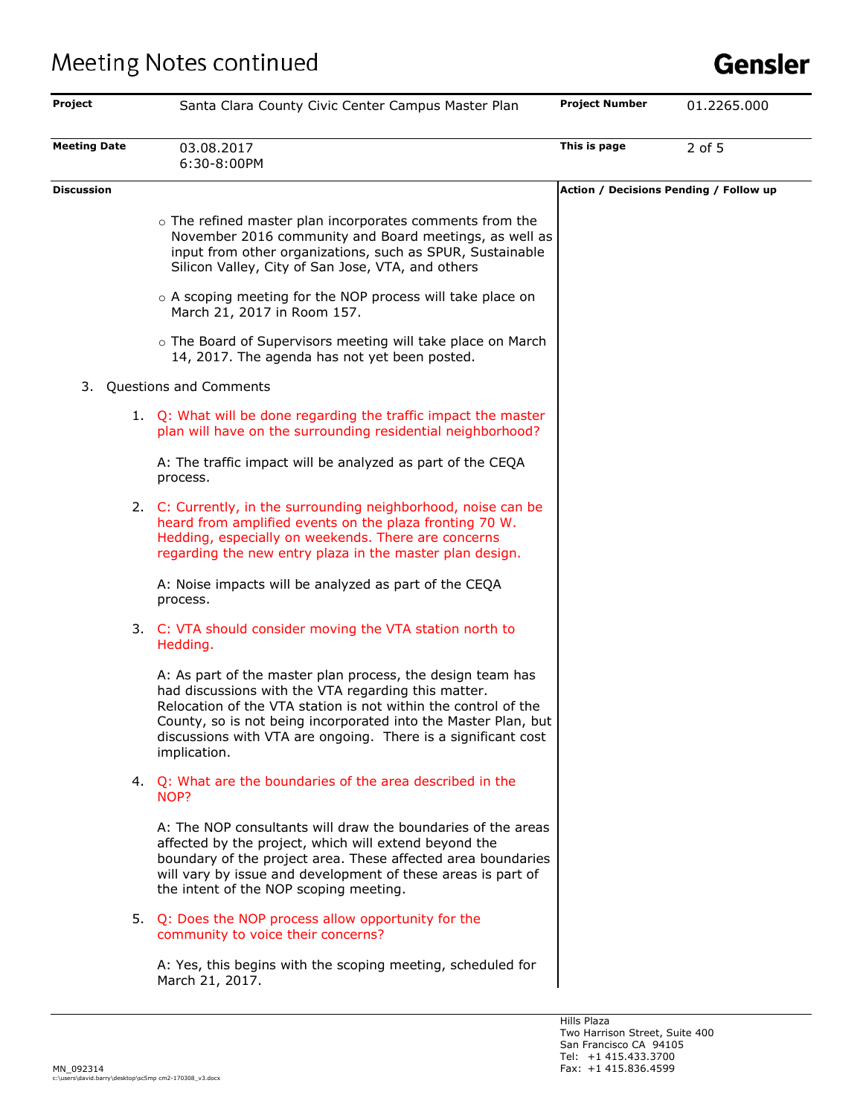| Project             | Santa Clara County Civic Center Campus Master Plan                                                                                                                                                                                                                                                                                     | <b>Project Number</b>                  | 01.2265.000 |
|---------------------|----------------------------------------------------------------------------------------------------------------------------------------------------------------------------------------------------------------------------------------------------------------------------------------------------------------------------------------|----------------------------------------|-------------|
| <b>Meeting Date</b> | 03.08.2017<br>6:30-8:00PM                                                                                                                                                                                                                                                                                                              | This is page                           | 2 of 5      |
| <b>Discussion</b>   |                                                                                                                                                                                                                                                                                                                                        | Action / Decisions Pending / Follow up |             |
|                     | o The refined master plan incorporates comments from the<br>November 2016 community and Board meetings, as well as<br>input from other organizations, such as SPUR, Sustainable<br>Silicon Valley, City of San Jose, VTA, and others                                                                                                   |                                        |             |
|                     | o A scoping meeting for the NOP process will take place on<br>March 21, 2017 in Room 157.                                                                                                                                                                                                                                              |                                        |             |
|                     | o The Board of Supervisors meeting will take place on March<br>14, 2017. The agenda has not yet been posted.                                                                                                                                                                                                                           |                                        |             |
| 3.                  | Questions and Comments                                                                                                                                                                                                                                                                                                                 |                                        |             |
|                     | 1. Q: What will be done regarding the traffic impact the master<br>plan will have on the surrounding residential neighborhood?                                                                                                                                                                                                         |                                        |             |
|                     | A: The traffic impact will be analyzed as part of the CEQA<br>process.                                                                                                                                                                                                                                                                 |                                        |             |
|                     | 2. C: Currently, in the surrounding neighborhood, noise can be<br>heard from amplified events on the plaza fronting 70 W.<br>Hedding, especially on weekends. There are concerns<br>regarding the new entry plaza in the master plan design.                                                                                           |                                        |             |
|                     | A: Noise impacts will be analyzed as part of the CEQA<br>process.                                                                                                                                                                                                                                                                      |                                        |             |
|                     | 3. C: VTA should consider moving the VTA station north to<br>Hedding.                                                                                                                                                                                                                                                                  |                                        |             |
|                     | A: As part of the master plan process, the design team has<br>had discussions with the VTA regarding this matter.<br>Relocation of the VTA station is not within the control of the<br>County, so is not being incorporated into the Master Plan, but<br>discussions with VTA are ongoing. There is a significant cost<br>implication. |                                        |             |
|                     | 4. Q: What are the boundaries of the area described in the<br>NOP?                                                                                                                                                                                                                                                                     |                                        |             |
|                     | A: The NOP consultants will draw the boundaries of the areas<br>affected by the project, which will extend beyond the<br>boundary of the project area. These affected area boundaries<br>will vary by issue and development of these areas is part of<br>the intent of the NOP scoping meeting.                                        |                                        |             |
|                     | 5. Q: Does the NOP process allow opportunity for the<br>community to voice their concerns?                                                                                                                                                                                                                                             |                                        |             |
|                     | A: Yes, this begins with the scoping meeting, scheduled for<br>March 21, 2017.                                                                                                                                                                                                                                                         |                                        |             |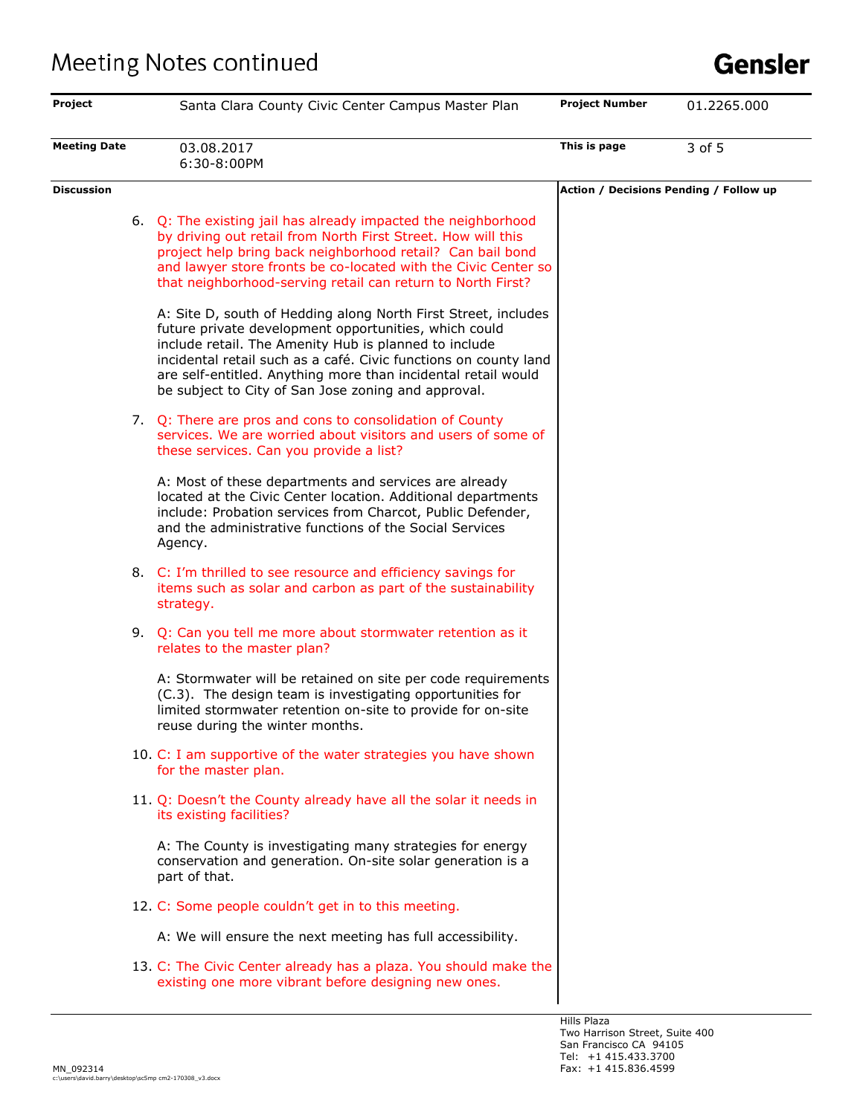| Project             | Santa Clara County Civic Center Campus Master Plan                                                                                                                                                                                                                                                                                                                           | <b>Project Number</b>                  | 01.2265.000 |
|---------------------|------------------------------------------------------------------------------------------------------------------------------------------------------------------------------------------------------------------------------------------------------------------------------------------------------------------------------------------------------------------------------|----------------------------------------|-------------|
| <b>Meeting Date</b> | 03.08.2017<br>6:30-8:00PM                                                                                                                                                                                                                                                                                                                                                    | This is page                           | 3 of 5      |
| <b>Discussion</b>   |                                                                                                                                                                                                                                                                                                                                                                              | Action / Decisions Pending / Follow up |             |
|                     | 6. Q: The existing jail has already impacted the neighborhood<br>by driving out retail from North First Street. How will this<br>project help bring back neighborhood retail? Can bail bond<br>and lawyer store fronts be co-located with the Civic Center so<br>that neighborhood-serving retail can return to North First?                                                 |                                        |             |
|                     | A: Site D, south of Hedding along North First Street, includes<br>future private development opportunities, which could<br>include retail. The Amenity Hub is planned to include<br>incidental retail such as a café. Civic functions on county land<br>are self-entitled. Anything more than incidental retail would<br>be subject to City of San Jose zoning and approval. |                                        |             |
|                     | 7. Q: There are pros and cons to consolidation of County<br>services. We are worried about visitors and users of some of<br>these services. Can you provide a list?                                                                                                                                                                                                          |                                        |             |
|                     | A: Most of these departments and services are already<br>located at the Civic Center location. Additional departments<br>include: Probation services from Charcot, Public Defender,<br>and the administrative functions of the Social Services<br>Agency.                                                                                                                    |                                        |             |
|                     | 8. C: I'm thrilled to see resource and efficiency savings for<br>items such as solar and carbon as part of the sustainability<br>strategy.                                                                                                                                                                                                                                   |                                        |             |
|                     | 9. Q: Can you tell me more about stormwater retention as it<br>relates to the master plan?                                                                                                                                                                                                                                                                                   |                                        |             |
|                     | A: Stormwater will be retained on site per code requirements<br>(C.3). The design team is investigating opportunities for<br>limited stormwater retention on-site to provide for on-site<br>reuse during the winter months.                                                                                                                                                  |                                        |             |
|                     | 10. C: I am supportive of the water strategies you have shown<br>for the master plan.                                                                                                                                                                                                                                                                                        |                                        |             |
|                     | 11. Q: Doesn't the County already have all the solar it needs in<br>its existing facilities?                                                                                                                                                                                                                                                                                 |                                        |             |
|                     | A: The County is investigating many strategies for energy<br>conservation and generation. On-site solar generation is a<br>part of that.                                                                                                                                                                                                                                     |                                        |             |
|                     | 12. C: Some people couldn't get in to this meeting.                                                                                                                                                                                                                                                                                                                          |                                        |             |
|                     | A: We will ensure the next meeting has full accessibility.                                                                                                                                                                                                                                                                                                                   |                                        |             |
|                     | 13. C: The Civic Center already has a plaza. You should make the<br>existing one more vibrant before designing new ones.                                                                                                                                                                                                                                                     |                                        |             |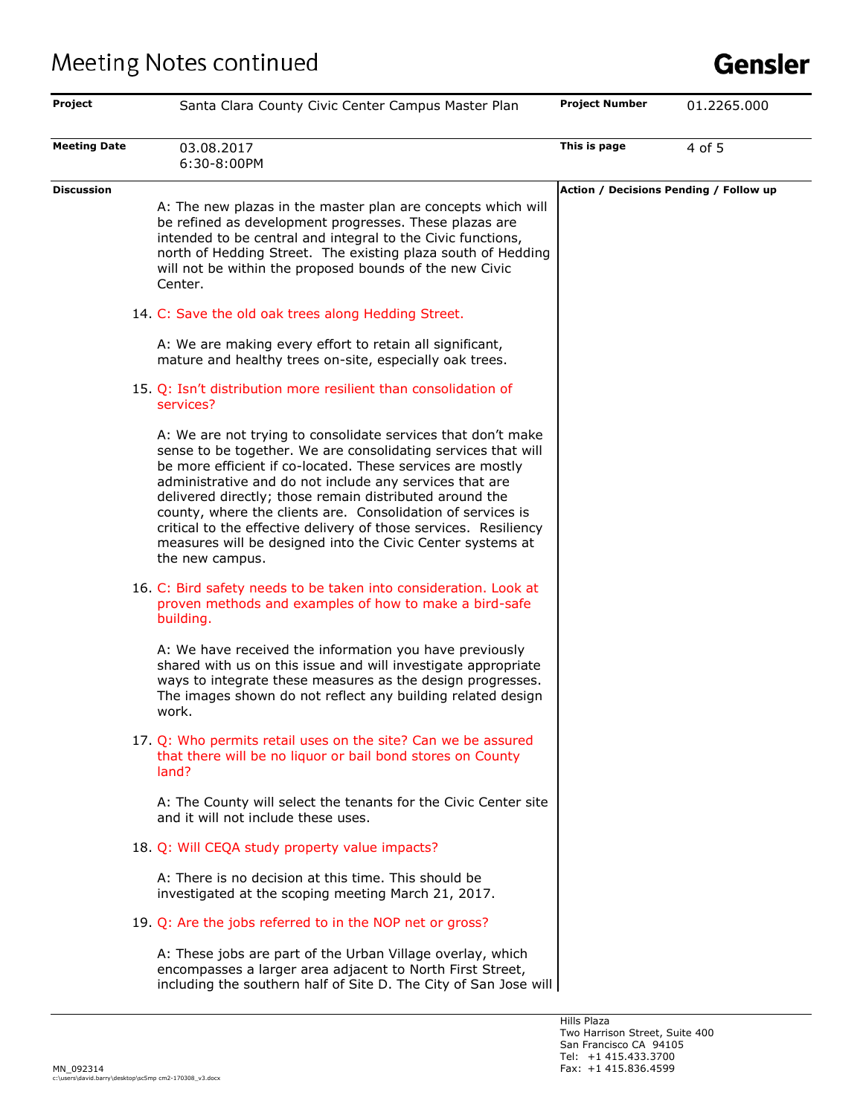| <b>Project</b>      |       | Santa Clara County Civic Center Campus Master Plan                                                                                                                                                                                                                                                                                                                                                                                                                                                                                    | <b>Project Number</b> | 01.2265.000                            |
|---------------------|-------|---------------------------------------------------------------------------------------------------------------------------------------------------------------------------------------------------------------------------------------------------------------------------------------------------------------------------------------------------------------------------------------------------------------------------------------------------------------------------------------------------------------------------------------|-----------------------|----------------------------------------|
| <b>Meeting Date</b> |       | 03.08.2017<br>6:30-8:00PM                                                                                                                                                                                                                                                                                                                                                                                                                                                                                                             | This is page          | 4 of 5                                 |
| <b>Discussion</b>   |       | A: The new plazas in the master plan are concepts which will<br>be refined as development progresses. These plazas are<br>intended to be central and integral to the Civic functions,<br>north of Hedding Street. The existing plaza south of Hedding<br>will not be within the proposed bounds of the new Civic<br>Center.                                                                                                                                                                                                           |                       | Action / Decisions Pending / Follow up |
|                     |       | 14. C: Save the old oak trees along Hedding Street.                                                                                                                                                                                                                                                                                                                                                                                                                                                                                   |                       |                                        |
|                     |       | A: We are making every effort to retain all significant,<br>mature and healthy trees on-site, especially oak trees.                                                                                                                                                                                                                                                                                                                                                                                                                   |                       |                                        |
|                     |       | 15. Q: Isn't distribution more resilient than consolidation of<br>services?                                                                                                                                                                                                                                                                                                                                                                                                                                                           |                       |                                        |
|                     |       | A: We are not trying to consolidate services that don't make<br>sense to be together. We are consolidating services that will<br>be more efficient if co-located. These services are mostly<br>administrative and do not include any services that are<br>delivered directly; those remain distributed around the<br>county, where the clients are. Consolidation of services is<br>critical to the effective delivery of those services. Resiliency<br>measures will be designed into the Civic Center systems at<br>the new campus. |                       |                                        |
|                     |       | 16. C: Bird safety needs to be taken into consideration. Look at<br>proven methods and examples of how to make a bird-safe<br>building.                                                                                                                                                                                                                                                                                                                                                                                               |                       |                                        |
|                     |       | A: We have received the information you have previously<br>shared with us on this issue and will investigate appropriate<br>ways to integrate these measures as the design progresses.<br>The images shown do not reflect any building related design<br>work.                                                                                                                                                                                                                                                                        |                       |                                        |
|                     | land? | 17. Q: Who permits retail uses on the site? Can we be assured<br>that there will be no liquor or bail bond stores on County                                                                                                                                                                                                                                                                                                                                                                                                           |                       |                                        |
|                     |       | A: The County will select the tenants for the Civic Center site<br>and it will not include these uses.                                                                                                                                                                                                                                                                                                                                                                                                                                |                       |                                        |
|                     |       | 18. Q: Will CEQA study property value impacts?                                                                                                                                                                                                                                                                                                                                                                                                                                                                                        |                       |                                        |
|                     |       | A: There is no decision at this time. This should be<br>investigated at the scoping meeting March 21, 2017.                                                                                                                                                                                                                                                                                                                                                                                                                           |                       |                                        |
|                     |       | 19. Q: Are the jobs referred to in the NOP net or gross?                                                                                                                                                                                                                                                                                                                                                                                                                                                                              |                       |                                        |
|                     |       | A: These jobs are part of the Urban Village overlay, which<br>encompasses a larger area adjacent to North First Street,<br>including the southern half of Site D. The City of San Jose will                                                                                                                                                                                                                                                                                                                                           |                       |                                        |